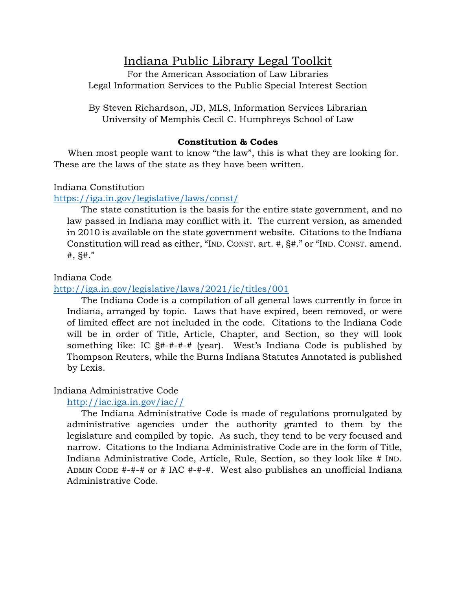# Indiana Public Library Legal Toolkit

For the American Association of Law Libraries Legal Information Services to the Public Special Interest Section

By Steven Richardson, JD, MLS, Information Services Librarian University of Memphis Cecil C. Humphreys School of Law

## **Constitution & Codes**

 When most people want to know "the law", this is what they are looking for. These are the laws of the state as they have been written.

## Indiana Constitution

# <https://iga.in.gov/legislative/laws/const/>

 The state constitution is the basis for the entire state government, and no law passed in Indiana may conflict with it. The current version, as amended in 2010 is available on the state government website. Citations to the Indiana Constitution will read as either, "IND. CONST. art. #, §#." or "IND. CONST. amend.  $#$ ,  $$$  $#$ ."

## Indiana Code

## <http://iga.in.gov/legislative/laws/2021/ic/titles/001>

 The Indiana Code is a compilation of all general laws currently in force in Indiana, arranged by topic. Laws that have expired, been removed, or were of limited effect are not included in the code. Citations to the Indiana Code will be in order of Title, Article, Chapter, and Section, so they will look something like: IC §#-#-#-# (year). West's Indiana Code is published by Thompson Reuters, while the Burns Indiana Statutes Annotated is published by Lexis.

# Indiana Administrative Code

# [http://iac.iga.in.gov/iac//](http://iac.iga.in.gov/iac/)

 The Indiana Administrative Code is made of regulations promulgated by administrative agencies under the authority granted to them by the legislature and compiled by topic. As such, they tend to be very focused and narrow. Citations to the Indiana Administrative Code are in the form of Title, Indiana Administrative Code, Article, Rule, Section, so they look like # IND. ADMIN CODE #-#-# or # IAC #-#-#. West also publishes an unofficial Indiana Administrative Code.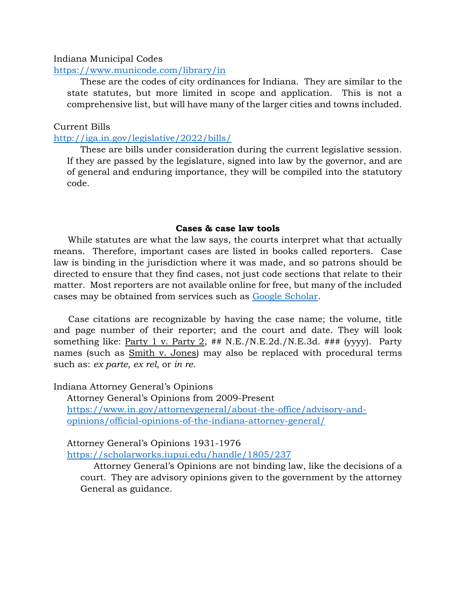#### Indiana Municipal Codes

#### <https://www.municode.com/library/in>

These are the codes of city ordinances for Indiana. They are similar to the state statutes, but more limited in scope and application. This is not a comprehensive list, but will have many of the larger cities and towns included.

#### Current Bills

#### <http://iga.in.gov/legislative/2022/bills/>

These are bills under consideration during the current legislative session. If they are passed by the legislature, signed into law by the governor, and are of general and enduring importance, they will be compiled into the statutory code.

#### **Cases & case law tools**

 While statutes are what the law says, the courts interpret what that actually means. Therefore, important cases are listed in books called reporters. Case law is binding in the jurisdiction where it was made, and so patrons should be directed to ensure that they find cases, not just code sections that relate to their matter. Most reporters are not available online for free, but many of the included cases may be obtained from services such as [Google Scholar.](http://scholar.google.com/)

Case citations are recognizable by having the case name; the volume, title and page number of their reporter; and the court and date. They will look something like: Party 1 v. Party 2,  $\#$ # N.E./N.E.2d./N.E.3d.  $\#$ ## (yyyy). Party names (such as Smith v. Jones) may also be replaced with procedural terms such as: *ex parte, ex rel*, or *in re*.

Indiana Attorney General's Opinions

Attorney General's Opinions from 2009-Present [https://www.in.gov/attorneygeneral/about-the-office/advisory-and](https://www.in.gov/attorneygeneral/about-the-office/advisory-and-opinions/official-opinions-of-the-indiana-attorney-general/)[opinions/official-opinions-of-the-indiana-attorney-general/](https://www.in.gov/attorneygeneral/about-the-office/advisory-and-opinions/official-opinions-of-the-indiana-attorney-general/)

#### Attorney General's Opinions 1931-1976

<https://scholarworks.iupui.edu/handle/1805/237>

Attorney General's Opinions are not binding law, like the decisions of a court. They are advisory opinions given to the government by the attorney General as guidance.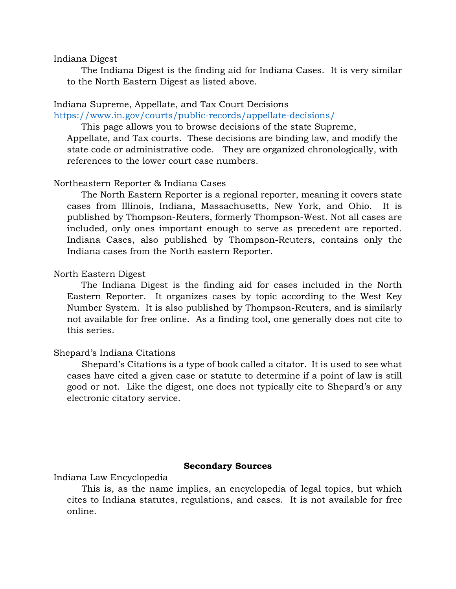#### Indiana Digest

 The Indiana Digest is the finding aid for Indiana Cases. It is very similar to the North Eastern Digest as listed above.

#### Indiana Supreme, Appellate, and Tax Court Decisions

<https://www.in.gov/courts/public-records/appellate-decisions/>

This page allows you to browse decisions of the state Supreme,

Appellate, and Tax courts. These decisions are binding law, and modify the state code or administrative code. They are organized chronologically, with references to the lower court case numbers.

#### Northeastern Reporter & Indiana Cases

 The North Eastern Reporter is a regional reporter, meaning it covers state cases from Illinois, Indiana, Massachusetts, New York, and Ohio. It is published by Thompson-Reuters, formerly Thompson-West. Not all cases are included, only ones important enough to serve as precedent are reported. Indiana Cases, also published by Thompson-Reuters, contains only the Indiana cases from the North eastern Reporter.

#### North Eastern Digest

 The Indiana Digest is the finding aid for cases included in the North Eastern Reporter. It organizes cases by topic according to the West Key Number System. It is also published by Thompson-Reuters, and is similarly not available for free online. As a finding tool, one generally does not cite to this series.

#### Shepard's Indiana Citations

Shepard's Citations is a type of book called a citator. It is used to see what cases have cited a given case or statute to determine if a point of law is still good or not. Like the digest, one does not typically cite to Shepard's or any electronic citatory service.

#### **Secondary Sources**

Indiana Law Encyclopedia

This is, as the name implies, an encyclopedia of legal topics, but which cites to Indiana statutes, regulations, and cases. It is not available for free online.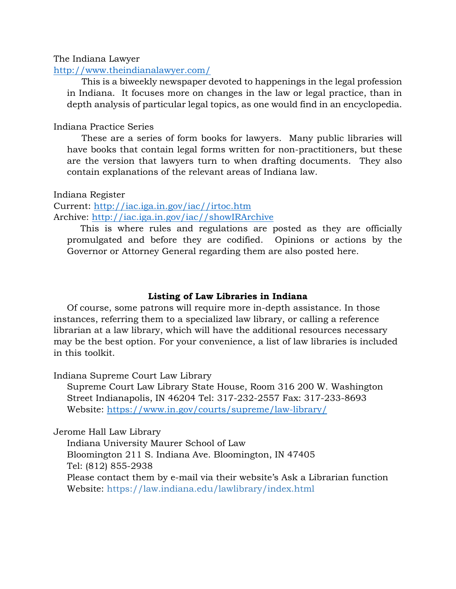The Indiana Lawyer

#### <http://www.theindianalawyer.com/>

This is a biweekly newspaper devoted to happenings in the legal profession in Indiana. It focuses more on changes in the law or legal practice, than in depth analysis of particular legal topics, as one would find in an encyclopedia.

## Indiana Practice Series

These are a series of form books for lawyers. Many public libraries will have books that contain legal forms written for non-practitioners, but these are the version that lawyers turn to when drafting documents. They also contain explanations of the relevant areas of Indiana law.

Indiana Register

Current: [http://iac.iga.in.gov/iac//irtoc.htm](http://iac.iga.in.gov/iac/irtoc.htm) Archive: [http://iac.iga.in.gov/iac//showIRArchive](http://iac.iga.in.gov/iac/showIRArchive)

This is where rules and regulations are posted as they are officially promulgated and before they are codified. Opinions or actions by the Governor or Attorney General regarding them are also posted here.

#### **Listing of Law Libraries in Indiana**

Of course, some patrons will require more in-depth assistance. In those instances, referring them to a specialized law library, or calling a reference librarian at a law library, which will have the additional resources necessary may be the best option. For your convenience, a list of law libraries is included in this toolkit.

Indiana Supreme Court Law Library

Supreme Court Law Library State House, Room 316 200 W. Washington Street Indianapolis, IN 46204 Tel: 317-232-2557 Fax: 317-233-8693 Website:<https://www.in.gov/courts/supreme/law-library/>

Jerome Hall Law Library

Indiana University Maurer School of Law Bloomington 211 S. Indiana Ave. Bloomington, IN 47405 Tel: (812) 855-2938 Please contact them by e-mail via their website's Ask a Librarian function Website: https://law.indiana.edu/lawlibrary/index.html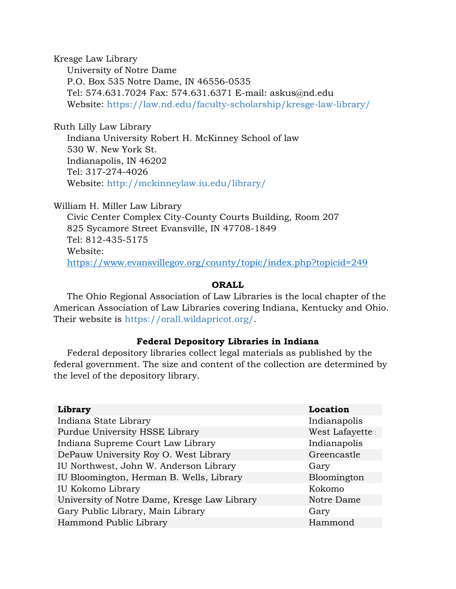Kresge Law Library University of Notre Dame P.O. Box 535 Notre Dame, IN 46556-0535 Tel: 574.631.7024 Fax: 574.631.6371 E-mail: askus@nd.edu Website: https://law.nd.edu/faculty-scholarship/kresge-law-library/

Ruth Lilly Law Library Indiana University Robert H. McKinney School of law 530 W. New York St. Indianapolis, IN 46202 Tel: 317-274-4026 Website: http://mckinneylaw.iu.edu/library/

William H. Miller Law Library Civic Center Complex City-County Courts Building, Room 207 825 Sycamore Street Evansville, IN 47708-1849 Tel: 812-435-5175 Website: <https://www.evansvillegov.org/county/topic/index.php?topicid=249>

#### **ORALL**

The Ohio Regional Association of Law Libraries is the local chapter of the American Association of Law Libraries covering Indiana, Kentucky and Ohio. Their website is https://orall.wildapricot.org/.

#### **Federal Depository Libraries in Indiana**

Federal depository libraries collect legal materials as published by the federal government. The size and content of the collection are determined by the level of the depository library.

| Library                                      | <b>Location</b> |
|----------------------------------------------|-----------------|
| Indiana State Library                        | Indianapolis    |
| Purdue University HSSE Library               | West Lafayette  |
| Indiana Supreme Court Law Library            | Indianapolis    |
| DePauw University Roy O. West Library        | Greencastle     |
| IU Northwest, John W. Anderson Library       | Gary            |
| IU Bloomington, Herman B. Wells, Library     | Bloomington     |
| IU Kokomo Library                            | Kokomo          |
| University of Notre Dame, Kresge Law Library | Notre Dame      |
| Gary Public Library, Main Library            | Gary            |
| Hammond Public Library                       | Hammond         |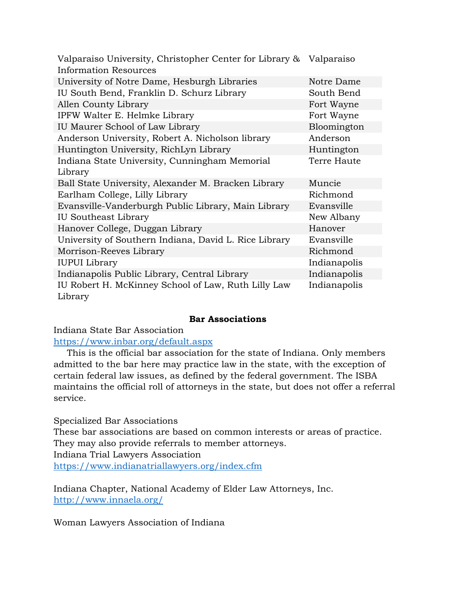| Valparaiso University, Christopher Center for Library & | Valparaiso   |
|---------------------------------------------------------|--------------|
| Information Resources                                   |              |
| University of Notre Dame, Hesburgh Libraries            | Notre Dame   |
| IU South Bend, Franklin D. Schurz Library               | South Bend   |
| Allen County Library                                    | Fort Wayne   |
| IPFW Walter E. Helmke Library                           | Fort Wayne   |
| IU Maurer School of Law Library                         | Bloomington  |
| Anderson University, Robert A. Nicholson library        | Anderson     |
| Huntington University, RichLyn Library                  | Huntington   |
| Indiana State University, Cunningham Memorial           | Terre Haute  |
| Library                                                 |              |
| Ball State University, Alexander M. Bracken Library     | Muncie       |
| Earlham College, Lilly Library                          | Richmond     |
| Evansville-Vanderburgh Public Library, Main Library     | Evansville   |
| <b>IU Southeast Library</b>                             | New Albany   |
| Hanover College, Duggan Library                         | Hanover      |
| University of Southern Indiana, David L. Rice Library   | Evansville   |
| Morrison-Reeves Library                                 | Richmond     |
| <b>IUPUI</b> Library                                    | Indianapolis |
| Indianapolis Public Library, Central Library            | Indianapolis |
| IU Robert H. McKinney School of Law, Ruth Lilly Law     | Indianapolis |
|                                                         |              |

#### **Bar Associations**

Indiana State Bar Association

<https://www.inbar.org/default.aspx>

This is the official bar association for the state of Indiana. Only members admitted to the bar here may practice law in the state, with the exception of certain federal law issues, as defined by the federal government. The ISBA maintains the official roll of attorneys in the state, but does not offer a referral service.

Specialized Bar Associations

These bar associations are based on common interests or areas of practice. They may also provide referrals to member attorneys. Indiana Trial Lawyers Association

<https://www.indianatriallawyers.org/index.cfm>

Indiana Chapter, National Academy of Elder Law Attorneys, Inc. <http://www.innaela.org/>

Woman Lawyers Association of Indiana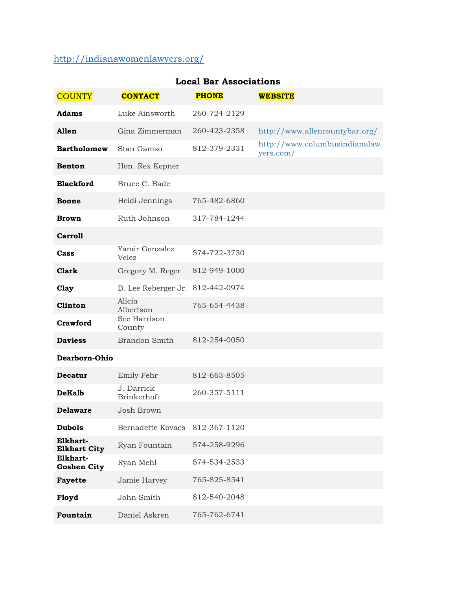# <http://indianawomenlawyers.org/>

| <b>COUNTY</b>                   | <b>CONTACT</b>                   | <b>PHONE</b> | <b>WEBSITE</b>                             |
|---------------------------------|----------------------------------|--------------|--------------------------------------------|
| Adams                           | Luke Ainsworth                   | 260-724-2129 |                                            |
| Allen                           | Gina Zimmerman                   | 260-423-2358 | http://www.allencountybar.org/             |
| <b>Bartholomew</b>              | Stan Gamso                       | 812-379-2331 | http://www.columbusindianalaw<br>yers.com/ |
| <b>Benton</b>                   | Hon. Rex Kepner                  |              |                                            |
| <b>Blackford</b>                | Bruce C. Bade                    |              |                                            |
| <b>Boone</b>                    | Heidi Jennings                   | 765-482-6860 |                                            |
| <b>Brown</b>                    | Ruth Johnson                     | 317-784-1244 |                                            |
| <b>Carroll</b>                  |                                  |              |                                            |
| Cass                            | Yamir Gonzalez<br>Velez          | 574-722-3730 |                                            |
| <b>Clark</b>                    | Gregory M. Reger                 | 812-949-1000 |                                            |
| Clay                            | B. Lee Reberger Jr.              | 812-442-0974 |                                            |
| Clinton                         | Alicia<br>Albertson              | 765-654-4438 |                                            |
| Crawford                        | See Harrison<br>County           |              |                                            |
| <b>Daviess</b>                  | Brandon Smith                    | 812-254-0050 |                                            |
| Dearborn-Ohio                   |                                  |              |                                            |
| Decatur                         | Emily Fehr                       | 812-663-8505 |                                            |
| <b>DeKalb</b>                   | J. Darrick<br><b>Brinkerhoft</b> | 260-357-5111 |                                            |
| <b>Delaware</b>                 | Josh Brown                       |              |                                            |
| <b>Dubois</b>                   | Bernadette Kovacs 812-367-1120   |              |                                            |
| Elkhart-<br><b>Elkhart City</b> | Ryan Fountain                    | 574-258-9296 |                                            |
| Elkhart-<br><b>Goshen City</b>  | Ryan Mehl                        | 574-534-2533 |                                            |
| Fayette                         | Jamie Harvey                     | 765-825-8541 |                                            |
| Floyd                           | John Smith                       | 812-540-2048 |                                            |
| Fountain                        | Daniel Askren                    | 765-762-6741 |                                            |

# **Local Bar Associations**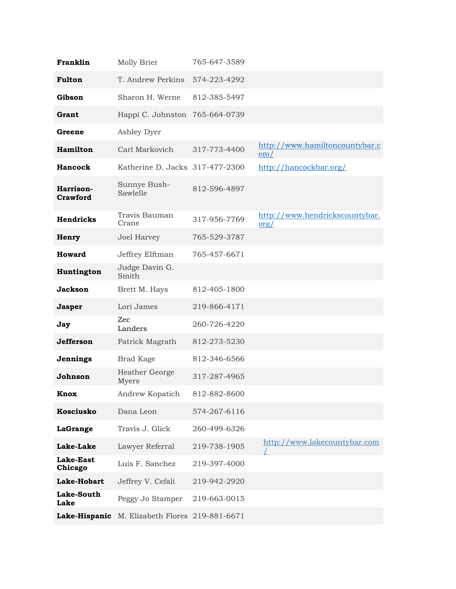| Franklin                    | Molly Brier                                    | 765-647-3589 |                                          |
|-----------------------------|------------------------------------------------|--------------|------------------------------------------|
| Fulton                      | T. Andrew Perkins                              | 574-223-4292 |                                          |
| Gibson                      | Sharon H. Werne                                | 812-385-5497 |                                          |
| Grant                       | Happi C. Johnston 765-664-0739                 |              |                                          |
| Greene                      | Ashley Dyer                                    |              |                                          |
| Hamilton                    | Carl Markovich                                 | 317-773-4400 | http://www.hamiltoncountybar.c<br>om/    |
| Hancock                     | Katherine D. Jacks 317-477-2300                |              | http://hancockbar.org/                   |
| Harrison-<br>Crawford       | Sunnye Bush-<br>Sawlelle                       | 812-596-4897 |                                          |
| <b>Hendricks</b>            | Travis Bauman<br>Crane                         | 317-956-7769 | http://www.hendrickscountybar.<br>$org/$ |
| Henry                       | Joel Harvey                                    | 765-529-3787 |                                          |
| Howard                      | Jeffrey Elftman                                | 765-457-6671 |                                          |
| Huntington                  | Judge Davin G.<br>Smith                        |              |                                          |
| Jackson                     | Brett M. Hays                                  | 812-405-1800 |                                          |
| <b>Jasper</b>               | Lori James                                     | 219-866-4171 |                                          |
| Jay                         | Zec<br>Landers                                 | 260-726-4220 |                                          |
| <b>Jefferson</b>            | Patrick Magrath                                | 812-273-5230 |                                          |
| Jennings                    | <b>Brad Kage</b>                               | 812-346-6566 |                                          |
| Johnson                     | Heather George<br>Myers                        | 317-287-4965 |                                          |
| Knox                        | Andrew Kopatich                                | 812-882-8600 |                                          |
| <b>Kosciusko</b>            | Dana Leon                                      | 574-267-6116 |                                          |
| LaGrange                    | Travis J. Glick                                | 260-499-6326 |                                          |
| <b>Lake-Lake</b>            | Lawyer Referral                                | 219-738-1905 | http://www.lakecountybar.com             |
| <b>Lake-East</b><br>Chicago | Luis F. Sanchez                                | 219-397-4000 |                                          |
| Lake-Hobart                 | Jeffrey V. Cefali                              | 219-942-2920 |                                          |
| Lake-South<br>Lake          | Peggy Jo Stamper                               | 219-663-0015 |                                          |
|                             | Lake-Hispanic M. Elizabeth Flores 219-881-6671 |              |                                          |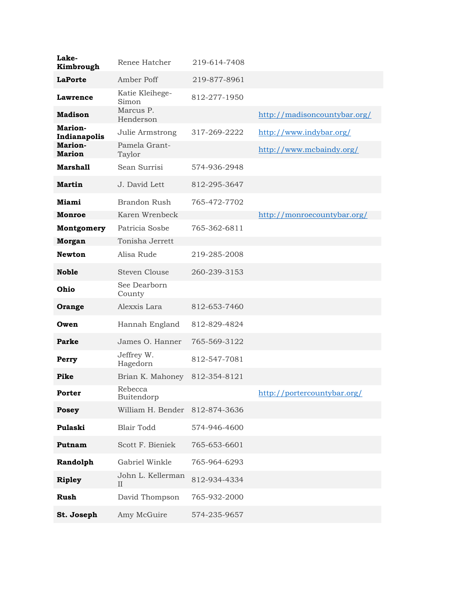| Lake-<br>Kimbrough       | Renee Hatcher                    | 219-614-7408 |                              |
|--------------------------|----------------------------------|--------------|------------------------------|
| <b>LaPorte</b>           | Amber Poff                       | 219-877-8961 |                              |
| Lawrence                 | Katie Kleihege-<br>Simon         | 812-277-1950 |                              |
| <b>Madison</b>           | Marcus P.<br>Henderson           |              | http://madisoncountybar.org/ |
| Marion-<br>Indianapolis  | Julie Armstrong                  | 317-269-2222 | http://www.indybar.org/      |
| Marion-<br><b>Marion</b> | Pamela Grant-<br>Taylor          |              | http://www.mcbaindy.org/     |
| <b>Marshall</b>          | Sean Surrisi                     | 574-936-2948 |                              |
| <b>Martin</b>            | J. David Lett                    | 812-295-3647 |                              |
| Miami                    | Brandon Rush                     | 765-472-7702 |                              |
| Monroe                   | Karen Wrenbeck                   |              | http://monroecountybar.org/  |
| Montgomery               | Patricia Sosbe                   | 765-362-6811 |                              |
| <b>Morgan</b>            | Tonisha Jerrett                  |              |                              |
| <b>Newton</b>            | Alisa Rude                       | 219-285-2008 |                              |
| <b>Noble</b>             | <b>Steven Clouse</b>             | 260-239-3153 |                              |
| Ohio                     | See Dearborn<br>County           |              |                              |
| Orange                   | Alexxis Lara                     | 812-653-7460 |                              |
| Owen                     | Hannah England                   | 812-829-4824 |                              |
| Parke                    | James O. Hanner                  | 765-569-3122 |                              |
| Perry                    | Jeffrey W.<br>Hagedorn           | 812-547-7081 |                              |
| Pike                     | Brian K. Mahoney                 | 812-354-8121 |                              |
| Porter                   | Rebecca<br>Buitendorp            |              | http://portercountybar.org/  |
| <b>Posey</b>             | William H. Bender                | 812-874-3636 |                              |
| Pulaski                  | <b>Blair Todd</b>                | 574-946-4600 |                              |
| Putnam                   | Scott F. Bieniek                 | 765-653-6601 |                              |
| Randolph                 | Gabriel Winkle                   | 765-964-6293 |                              |
| <b>Ripley</b>            | John L. Kellerman<br>$_{\rm II}$ | 812-934-4334 |                              |
| Rush                     | David Thompson                   | 765-932-2000 |                              |
| St. Joseph               | Amy McGuire                      | 574-235-9657 |                              |
|                          |                                  |              |                              |